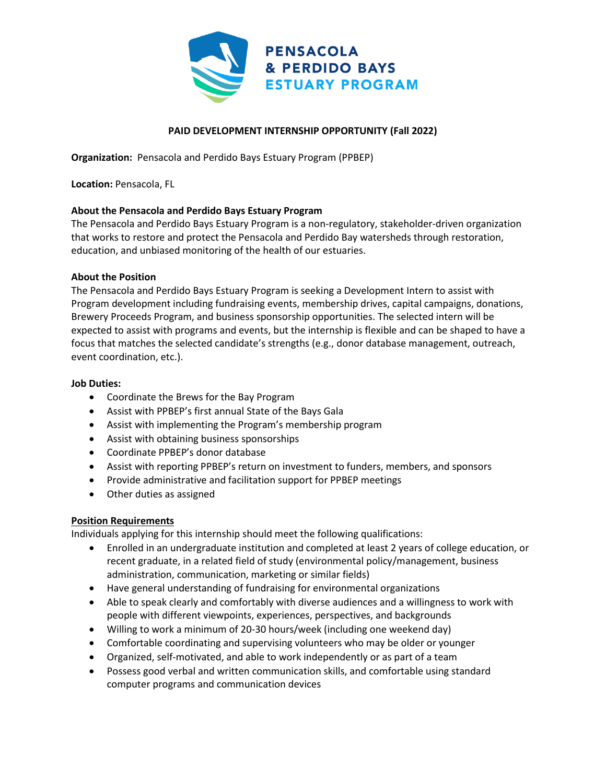

# **PAID DEVELOPMENT INTERNSHIP OPPORTUNITY (Fall 2022)**

**Organization:**  Pensacola and Perdido Bays Estuary Program (PPBEP)

**Location:** Pensacola, FL

### **About the Pensacola and Perdido Bays Estuary Program**

The Pensacola and Perdido Bays Estuary Program is a non-regulatory, stakeholder-driven organization that works to restore and protect the Pensacola and Perdido Bay watersheds through restoration, education, and unbiased monitoring of the health of our estuaries.

#### **About the Position**

The Pensacola and Perdido Bays Estuary Program is seeking a Development Intern to assist with Program development including fundraising events, membership drives, capital campaigns, donations, Brewery Proceeds Program, and business sponsorship opportunities. The selected intern will be expected to assist with programs and events, but the internship is flexible and can be shaped to have a focus that matches the selected candidate's strengths (e.g., donor database management, outreach, event coordination, etc.).

#### **Job Duties:**

- Coordinate the Brews for the Bay Program
- Assist with PPBEP's first annual State of the Bays Gala
- Assist with implementing the Program's membership program
- Assist with obtaining business sponsorships
- Coordinate PPBEP's donor database
- Assist with reporting PPBEP's return on investment to funders, members, and sponsors
- Provide administrative and facilitation support for PPBEP meetings
- Other duties as assigned

### **Position Requirements**

Individuals applying for this internship should meet the following qualifications:

- Enrolled in an undergraduate institution and completed at least 2 years of college education, or recent graduate, in a related field of study (environmental policy/management, business administration, communication, marketing or similar fields)
- Have general understanding of fundraising for environmental organizations
- Able to speak clearly and comfortably with diverse audiences and a willingness to work with people with different viewpoints, experiences, perspectives, and backgrounds
- Willing to work a minimum of 20-30 hours/week (including one weekend day)
- Comfortable coordinating and supervising volunteers who may be older or younger
- Organized, self-motivated, and able to work independently or as part of a team
- Possess good verbal and written communication skills, and comfortable using standard computer programs and communication devices